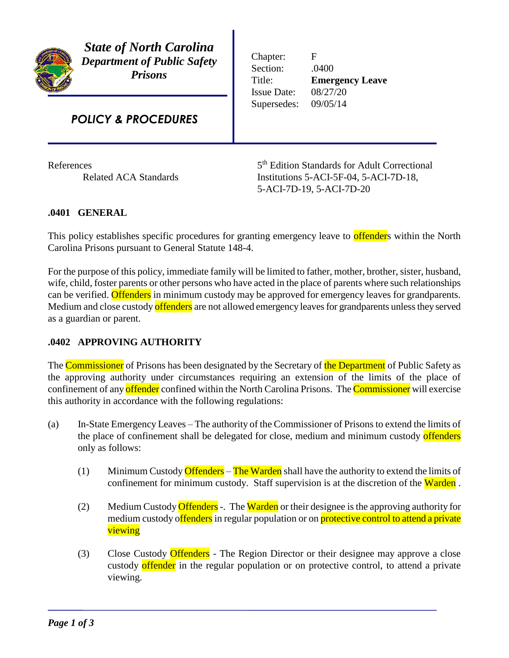

*State of North Carolina Department of Public Safety Prisons*

# *POLICY & PROCEDURES*

**References** 

Chapter: F Section: .0400 Title: **Emergency Leave** Issue Date: 08/27/20 Supersedes: 09/05/14

5<sup>th</sup> Edition Standards for Adult Correctional Related ACA Standards Institutions 5-ACI-5F-04, 5-ACI-7D-18, 5-ACI-7D-19, 5-ACI-7D-20

## **.0401 GENERAL**

This policy establishes specific procedures for granting emergency leave to **offender**s within the North Carolina Prisons pursuant to General Statute 148-4.

For the purpose of this policy, immediate family will be limited to father, mother, brother, sister, husband, wife, child, foster parents or other persons who have acted in the place of parents where such relationships can be verified. Offenders in minimum custody may be approved for emergency leaves for grandparents. Medium and close custody offenders are not allowed emergency leaves for grandparents unless they served as a guardian or parent.

#### **.0402 APPROVING AUTHORITY**

The Commissioner of Prisons has been designated by the Secretary of the Department of Public Safety as the approving authority under circumstances requiring an extension of the limits of the place of confinement of any offender confined within the North Carolina Prisons. The Commissioner will exercise this authority in accordance with the following regulations:

- (a) In-State Emergency Leaves The authority of the Commissioner of Prisons to extend the limits of the place of confinement shall be delegated for close, medium and minimum custody offenders only as follows:
	- (1) Minimum Custody Offenders The Warden shall have the authority to extend the limits of confinement for minimum custody. Staff supervision is at the discretion of the Warden.
	- (2) Medium Custody Offenders -. The Warden or their designee is the approving authority for medium custody offenders in regular population or on protective control to attend a private viewing
	- (3) Close Custody Offenders The Region Director or their designee may approve a close custody offender in the regular population or on protective control, to attend a private viewing.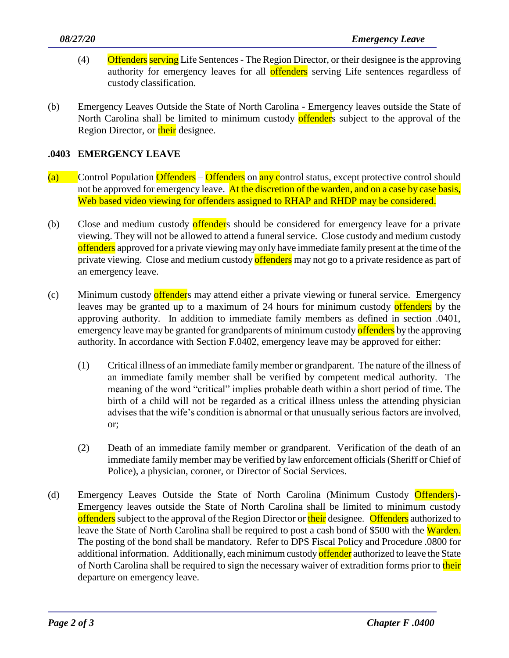- (4) Offenders serving Life Sentences The Region Director, or their designee is the approving authority for emergency leaves for all **offenders** serving Life sentences regardless of custody classification.
- (b) Emergency Leaves Outside the State of North Carolina Emergency leaves outside the State of North Carolina shall be limited to minimum custody offenders subject to the approval of the Region Director, or their designee.

### **.0403 EMERGENCY LEAVE**

- (a) Control Population Offenders Offenders on any control status, except protective control should not be approved for emergency leave. At the discretion of the warden, and on a case by case basis, Web based video viewing for offenders assigned to RHAP and RHDP may be considered.
- (b) Close and medium custody offenders should be considered for emergency leave for a private viewing. They will not be allowed to attend a funeral service. Close custody and medium custody offenders approved for a private viewing may only have immediate family present at the time of the private viewing. Close and medium custody offenders may not go to a private residence as part of an emergency leave.
- (c) Minimum custody offenders may attend either a private viewing or funeral service. Emergency leaves may be granted up to a maximum of 24 hours for minimum custody offenders by the approving authority. In addition to immediate family members as defined in section .0401, emergency leave may be granted for grandparents of minimum custody offenders by the approving authority. In accordance with Section F.0402, emergency leave may be approved for either:
	- (1) Critical illness of an immediate family member or grandparent. The nature of the illness of an immediate family member shall be verified by competent medical authority. The meaning of the word "critical" implies probable death within a short period of time. The birth of a child will not be regarded as a critical illness unless the attending physician advises that the wife's condition is abnormal or that unusually serious factors are involved, or;
	- (2) Death of an immediate family member or grandparent. Verification of the death of an immediate family member may be verified by law enforcement officials (Sheriff or Chief of Police), a physician, coroner, or Director of Social Services.
- (d) Emergency Leaves Outside the State of North Carolina (Minimum Custody Offenders)- Emergency leaves outside the State of North Carolina shall be limited to minimum custody offenders subject to the approval of the Region Director or their designee. Offenders authorized to leave the State of North Carolina shall be required to post a cash bond of \$500 with the Warden. The posting of the bond shall be mandatory. Refer to DPS Fiscal Policy and Procedure .0800 for additional information. Additionally, each minimum custody offender authorized to leave the State of North Carolina shall be required to sign the necessary waiver of extradition forms prior to their departure on emergency leave.